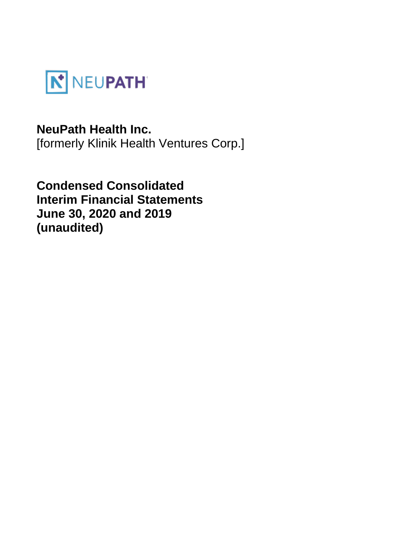

# **NeuPath Health Inc.**

[formerly Klinik Health Ventures Corp.]

**Condensed Consolidated Interim Financial Statements June 30, 2020 and 2019 (unaudited)**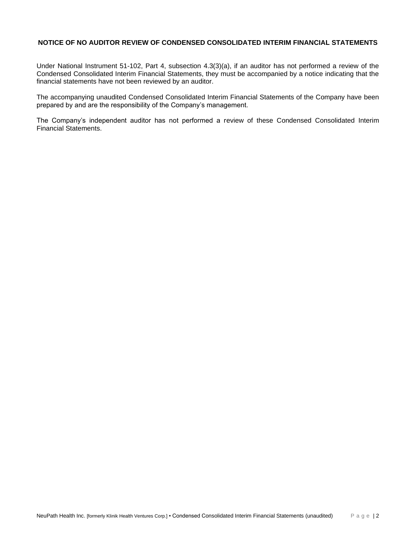# **NOTICE OF NO AUDITOR REVIEW OF CONDENSED CONSOLIDATED INTERIM FINANCIAL STATEMENTS**

Under National Instrument 51-102, Part 4, subsection 4.3(3)(a), if an auditor has not performed a review of the Condensed Consolidated Interim Financial Statements, they must be accompanied by a notice indicating that the financial statements have not been reviewed by an auditor.

The accompanying unaudited Condensed Consolidated Interim Financial Statements of the Company have been prepared by and are the responsibility of the Company's management.

The Company's independent auditor has not performed a review of these Condensed Consolidated Interim Financial Statements.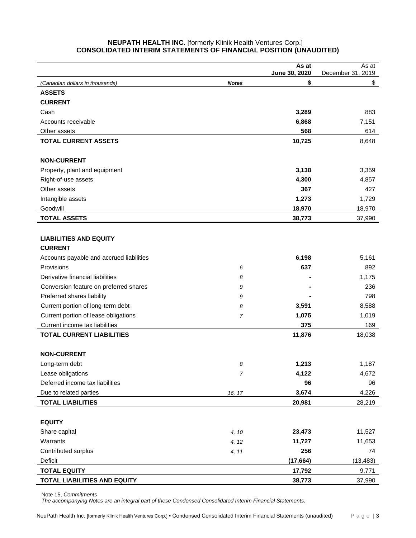# **NEUPATH HEALTH INC.** [formerly Klinik Health Ventures Corp.] **CONSOLIDATED INTERIM STATEMENTS OF FINANCIAL POSITION (UNAUDITED)**

|                                          |                | As at<br>June 30, 2020 | As at<br>December 31, 2019 |
|------------------------------------------|----------------|------------------------|----------------------------|
| (Canadian dollars in thousands)          | <b>Notes</b>   | \$                     | \$                         |
| <b>ASSETS</b>                            |                |                        |                            |
| <b>CURRENT</b>                           |                |                        |                            |
| Cash                                     |                | 3,289                  | 883                        |
| Accounts receivable                      |                | 6,868                  | 7,151                      |
| Other assets                             |                | 568                    | 614                        |
| <b>TOTAL CURRENT ASSETS</b>              |                | 10,725                 | 8,648                      |
|                                          |                |                        |                            |
| <b>NON-CURRENT</b>                       |                |                        |                            |
| Property, plant and equipment            |                | 3,138                  | 3,359                      |
| Right-of-use assets                      |                | 4,300                  | 4,857                      |
| Other assets                             |                | 367                    | 427                        |
| Intangible assets                        |                | 1,273                  | 1,729                      |
| Goodwill                                 |                | 18,970                 | 18,970                     |
| <b>TOTAL ASSETS</b>                      |                | 38,773                 | 37,990                     |
|                                          |                |                        |                            |
| <b>LIABILITIES AND EQUITY</b>            |                |                        |                            |
| <b>CURRENT</b>                           |                |                        |                            |
| Accounts payable and accrued liabilities |                | 6,198                  | 5,161                      |
| Provisions                               | 6              | 637                    | 892                        |
| Derivative financial liabilities         | 8              |                        | 1,175                      |
| Conversion feature on preferred shares   | 9              |                        | 236                        |
| Preferred shares liability               | 9              |                        | 798                        |
| Current portion of long-term debt        | 8              | 3,591                  | 8,588                      |
| Current portion of lease obligations     | $\overline{7}$ | 1,075                  | 1,019                      |
| Current income tax liabilities           |                | 375                    | 169                        |
| <b>TOTAL CURRENT LIABILITIES</b>         |                | 11,876                 | 18,038                     |
|                                          |                |                        |                            |
| <b>NON-CURRENT</b>                       |                |                        |                            |
| Long-term debt                           | 8              | 1,213                  | 1,187                      |
| Lease obligations                        | $\overline{7}$ | 4,122                  | 4,672                      |
| Deferred income tax liabilities          |                | 96                     | 96                         |
| Due to related parties                   | 16, 17         | 3,674                  | 4,226                      |
| <b>TOTAL LIABILITIES</b>                 |                | 20,981                 | 28,219                     |
|                                          |                |                        |                            |
| <b>EQUITY</b>                            |                |                        |                            |
| Share capital                            | 4, 10          | 23,473                 | 11,527                     |
| Warrants                                 | 4, 12          | 11,727                 | 11,653                     |
| Contributed surplus                      | 4, 11          | 256                    | 74                         |
| Deficit                                  |                | (17, 664)              | (13, 483)                  |
| <b>TOTAL EQUITY</b>                      |                | 17,792                 | 9,771                      |
| TOTAL LIABILITIES AND EQUITY             |                | 38,773                 | 37,990                     |

Note 15, *Commitments*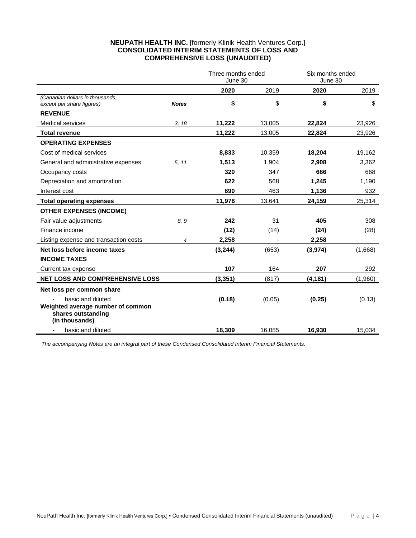# **NEUPATH HEALTH INC.** [formerly Klinik Health Ventures Corp.] **CONSOLIDATED INTERIM STATEMENTS OF LOSS AND COMPREHENSIVE LOSS (UNAUDITED)**

|                                                                           |              | Three months ended<br>June 30 |        | Six months ended<br>June 30 |         |
|---------------------------------------------------------------------------|--------------|-------------------------------|--------|-----------------------------|---------|
|                                                                           |              | 2020                          | 2019   | 2020                        | 2019    |
| (Canadian dollars in thousands,<br>except per share figures)              | <b>Notes</b> | \$                            | \$     | \$                          | \$      |
| <b>REVENUE</b>                                                            |              |                               |        |                             |         |
| <b>Medical services</b>                                                   | 3, 18        | 11,222                        | 13,005 | 22,824                      | 23,926  |
| <b>Total revenue</b>                                                      |              | 11,222                        | 13,005 | 22,824                      | 23,926  |
| <b>OPERATING EXPENSES</b>                                                 |              |                               |        |                             |         |
| Cost of medical services                                                  |              | 8,833                         | 10,359 | 18,204                      | 19,162  |
| General and administrative expenses                                       | 5, 11        | 1,513                         | 1,904  | 2,908                       | 3,362   |
| Occupancy costs                                                           |              | 320                           | 347    | 666                         | 668     |
| Depreciation and amortization                                             |              | 622                           | 568    | 1,245                       | 1,190   |
| Interest cost                                                             |              | 690                           | 463    | 1,136                       | 932     |
| <b>Total operating expenses</b>                                           |              | 11,978                        | 13,641 | 24,159                      | 25,314  |
| <b>OTHER EXPENSES (INCOME)</b>                                            |              |                               |        |                             |         |
| Fair value adjustments                                                    | 8.9          | 242                           | 31     | 405                         | 308     |
| Finance income                                                            |              | (12)                          | (14)   | (24)                        | (28)    |
| Listing expense and transaction costs                                     | 4            | 2,258                         |        | 2,258                       |         |
| Net loss before income taxes                                              |              | (3,244)                       | (653)  | (3, 974)                    | (1,668) |
| <b>INCOME TAXES</b>                                                       |              |                               |        |                             |         |
| Current tax expense                                                       |              | 107                           | 164    | 207                         | 292     |
| <b>NET LOSS AND COMPREHENSIVE LOSS</b>                                    |              | (3, 351)                      | (817)  | (4, 181)                    | (1,960) |
| Net loss per common share                                                 |              |                               |        |                             |         |
| basic and diluted                                                         |              | (0.18)                        | (0.05) | (0.25)                      | (0.13)  |
| Weighted average number of common<br>shares outstanding<br>(in thousands) |              |                               |        |                             |         |
| basic and diluted                                                         |              | 18.309                        | 16,085 | 16,930                      | 15,034  |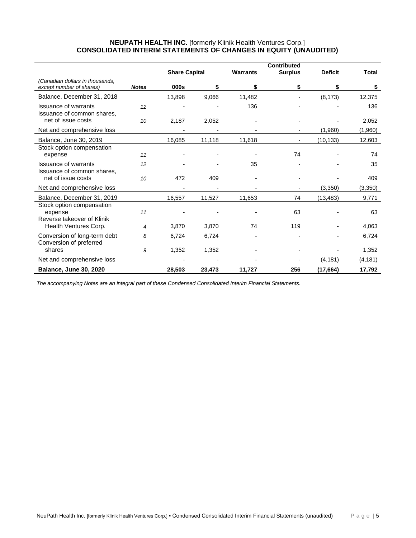# **NEUPATH HEALTH INC.** [formerly Klinik Health Ventures Corp.] **CONSOLIDATED INTERIM STATEMENTS OF CHANGES IN EQUITY (UNAUDITED)**

|                                                                    |              |                      |        | <b>Warrants</b> | <b>Contributed</b> | <b>Deficit</b> | <b>Total</b> |
|--------------------------------------------------------------------|--------------|----------------------|--------|-----------------|--------------------|----------------|--------------|
| (Canadian dollars in thousands,                                    |              | <b>Share Capital</b> |        |                 | <b>Surplus</b>     |                |              |
| except number of shares)                                           | <b>Notes</b> | 000s                 | \$     | \$              | \$                 | \$             | \$           |
| Balance, December 31, 2018                                         |              | 13,898               | 9,066  | 11,482          |                    | (8, 173)       | 12,375       |
| <b>Issuance of warrants</b><br>Issuance of common shares,          | 12           |                      |        | 136             |                    |                | 136          |
| net of issue costs                                                 | 10           | 2,187                | 2,052  |                 |                    |                | 2,052        |
| Net and comprehensive loss                                         |              |                      |        |                 |                    | (1,960)        | (1,960)      |
| Balance, June 30, 2019                                             |              | 16,085               | 11,118 | 11,618          |                    | (10, 133)      | 12,603       |
| Stock option compensation<br>expense                               | 11           |                      |        |                 | 74                 |                | 74           |
| <b>Issuance of warrants</b><br>Issuance of common shares.          | 12           |                      |        | 35              |                    |                | 35           |
| net of issue costs                                                 | 10           | 472                  | 409    |                 |                    |                | 409          |
| Net and comprehensive loss                                         |              |                      |        |                 |                    | (3,350)        | (3,350)      |
| Balance, December 31, 2019                                         |              | 16,557               | 11,527 | 11,653          | 74                 | (13, 483)      | 9,771        |
| Stock option compensation<br>expense<br>Reverse takeover of Klinik | 11           |                      |        |                 | 63                 |                | 63           |
| Health Ventures Corp.                                              | 4            | 3,870                | 3,870  | 74              | 119                |                | 4,063        |
| Conversion of long-term debt<br>Conversion of preferred            | 8            | 6,724                | 6,724  |                 |                    |                | 6,724        |
| shares                                                             | 9            | 1,352                | 1,352  |                 |                    |                | 1,352        |
| Net and comprehensive loss                                         |              |                      |        |                 |                    | (4, 181)       | (4, 181)     |
| <b>Balance, June 30, 2020</b>                                      |              | 28,503               | 23,473 | 11,727          | 256                | (17, 664)      | 17,792       |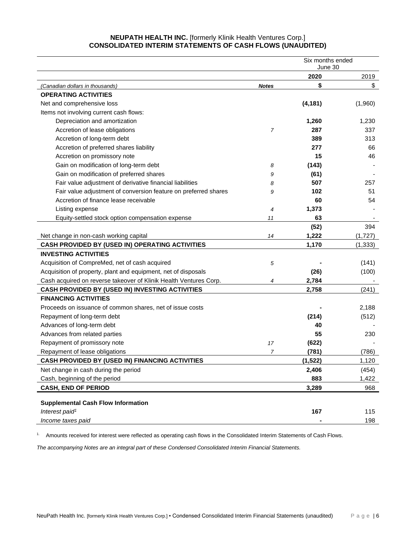# **NEUPATH HEALTH INC.** [formerly Klinik Health Ventures Corp.] **CONSOLIDATED INTERIM STATEMENTS OF CASH FLOWS (UNAUDITED)**

|                                                                   | Six months ended<br>June 30 |          |            |
|-------------------------------------------------------------------|-----------------------------|----------|------------|
|                                                                   | 2020                        |          |            |
| (Canadian dollars in thousands)                                   | <b>Notes</b>                | \$       | 2019<br>\$ |
| <b>OPERATING ACTIVITIES</b>                                       |                             |          |            |
| Net and comprehensive loss                                        |                             | (4, 181) | (1,960)    |
| Items not involving current cash flows:                           |                             |          |            |
| Depreciation and amortization                                     |                             | 1,260    | 1,230      |
| Accretion of lease obligations                                    | 7                           | 287      | 337        |
| Accretion of long-term debt                                       |                             | 389      | 313        |
| Accretion of preferred shares liability                           |                             | 277      | 66         |
| Accretion on promissory note                                      |                             | 15       | 46         |
| Gain on modification of long-term debt                            | 8                           | (143)    |            |
| Gain on modification of preferred shares                          | 9                           | (61)     |            |
| Fair value adjustment of derivative financial liabilities         | 8                           | 507      | 257        |
| Fair value adjustment of conversion feature on preferred shares   | 9                           | 102      | 51         |
| Accretion of finance lease receivable                             |                             | 60       | 54         |
| Listing expense                                                   | 4                           | 1,373    |            |
| Equity-settled stock option compensation expense                  | 11                          | 63       |            |
|                                                                   |                             | (52)     | 394        |
| Net change in non-cash working capital                            | 14                          | 1,222    | (1,727)    |
| CASH PROVIDED BY (USED IN) OPERATING ACTIVITIES                   |                             | 1,170    | (1, 333)   |
| <b>INVESTING ACTIVITIES</b>                                       |                             |          |            |
| Acquisition of CompreMed, net of cash acquired                    | 5                           |          | (141)      |
| Acquisition of property, plant and equipment, net of disposals    |                             | (26)     | (100)      |
| Cash acquired on reverse takeover of Klinik Health Ventures Corp. | 4                           | 2,784    |            |
| CASH PROVIDED BY (USED IN) INVESTING ACTIVITIES                   |                             | 2,758    | (241)      |
| <b>FINANCING ACTIVITIES</b>                                       |                             |          |            |
| Proceeds on issuance of common shares, net of issue costs         |                             |          | 2,188      |
| Repayment of long-term debt                                       |                             | (214)    | (512)      |
| Advances of long-term debt                                        |                             | 40       |            |
| Advances from related parties                                     |                             | 55       | 230        |
| Repayment of promissory note                                      | 17                          | (622)    |            |
| Repayment of lease obligations                                    | 7                           | (781)    | (786)      |
| <b>CASH PROVIDED BY (USED IN) FINANCING ACTIVITIES</b>            |                             | (1, 522) | 1,120      |
| Net change in cash during the period                              |                             | 2,406    | (454)      |
| Cash, beginning of the period                                     |                             | 883      | 1,422      |
| <b>CASH, END OF PERIOD</b>                                        |                             | 3,289    | 968        |
|                                                                   |                             |          |            |
| <b>Supplemental Cash Flow Information</b>                         |                             |          |            |
| Interest paid <sup>1</sup>                                        |                             | 167      | 115        |
| Income taxes paid                                                 |                             |          | 198        |

1. Amounts received for interest were reflected as operating cash flows in the Consolidated Interim Statements of Cash Flows.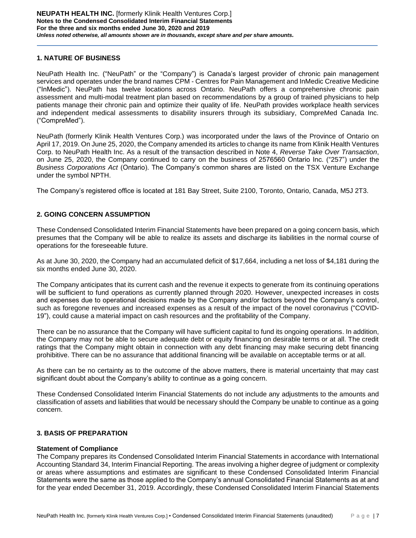# **1. NATURE OF BUSINESS**

NeuPath Health Inc. ("NeuPath" or the "Company") is Canada's largest provider of chronic pain management services and operates under the brand names CPM - Centres for Pain Management and InMedic Creative Medicine ("InMedic"). NeuPath has twelve locations across Ontario. NeuPath offers a comprehensive chronic pain assessment and multi-modal treatment plan based on recommendations by a group of trained physicians to help patients manage their chronic pain and optimize their quality of life. NeuPath provides workplace health services and independent medical assessments to disability insurers through its subsidiary, CompreMed Canada Inc. ("CompreMed").

NeuPath (formerly Klinik Health Ventures Corp.) was incorporated under the laws of the Province of Ontario on April 17, 2019. On June 25, 2020, the Company amended its articles to change its name from Klinik Health Ventures Corp. to NeuPath Health Inc. As a result of the transaction described in Note 4, *Reverse Take Over Transaction*, on June 25, 2020, the Company continued to carry on the business of 2576560 Ontario Inc. ("257") under the *Business Corporations Act* (Ontario). The Company's common shares are listed on the TSX Venture Exchange under the symbol NPTH.

The Company's registered office is located at 181 Bay Street, Suite 2100, Toronto, Ontario, Canada, M5J 2T3.

### **2. GOING CONCERN ASSUMPTION**

These Condensed Consolidated Interim Financial Statements have been prepared on a going concern basis, which presumes that the Company will be able to realize its assets and discharge its liabilities in the normal course of operations for the foreseeable future.

As at June 30, 2020, the Company had an accumulated deficit of \$17,664, including a net loss of \$4,181 during the six months ended June 30, 2020.

The Company anticipates that its current cash and the revenue it expects to generate from its continuing operations will be sufficient to fund operations as currently planned through 2020. However, unexpected increases in costs and expenses due to operational decisions made by the Company and/or factors beyond the Company's control, such as foregone revenues and increased expenses as a result of the impact of the novel coronavirus ("COVID-19"), could cause a material impact on cash resources and the profitability of the Company.

There can be no assurance that the Company will have sufficient capital to fund its ongoing operations. In addition, the Company may not be able to secure adequate debt or equity financing on desirable terms or at all. The credit ratings that the Company might obtain in connection with any debt financing may make securing debt financing prohibitive. There can be no assurance that additional financing will be available on acceptable terms or at all.

As there can be no certainty as to the outcome of the above matters, there is material uncertainty that may cast significant doubt about the Company's ability to continue as a going concern.

These Condensed Consolidated Interim Financial Statements do not include any adjustments to the amounts and classification of assets and liabilities that would be necessary should the Company be unable to continue as a going concern.

# **3. BASIS OF PREPARATION**

### **Statement of Compliance**

The Company prepares its Condensed Consolidated Interim Financial Statements in accordance with International Accounting Standard 34, Interim Financial Reporting. The areas involving a higher degree of judgment or complexity or areas where assumptions and estimates are significant to these Condensed Consolidated Interim Financial Statements were the same as those applied to the Company's annual Consolidated Financial Statements as at and for the year ended December 31, 2019. Accordingly, these Condensed Consolidated Interim Financial Statements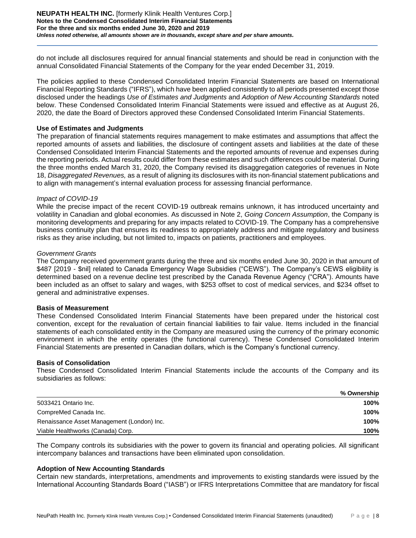### **NEUPATH HEALTH INC.** [formerly Klinik Health Ventures Corp.] **Notes to the Condensed Consolidated Interim Financial Statements For the three and six months ended June 30, 2020 and 2019** *Unless noted otherwise, all amounts shown are in thousands, except share and per share amounts.*

do not include all disclosures required for annual financial statements and should be read in conjunction with the annual Consolidated Financial Statements of the Company for the year ended December 31, 2019.

The policies applied to these Condensed Consolidated Interim Financial Statements are based on International Financial Reporting Standards ("IFRS"), which have been applied consistently to all periods presented except those disclosed under the headings *Use of Estimates and Judgments* and *Adoption of New Accounting Standards* noted below. These Condensed Consolidated Interim Financial Statements were issued and effective as at August 26, 2020, the date the Board of Directors approved these Condensed Consolidated Interim Financial Statements.

### **Use of Estimates and Judgments**

The preparation of financial statements requires management to make estimates and assumptions that affect the reported amounts of assets and liabilities, the disclosure of contingent assets and liabilities at the date of these Condensed Consolidated Interim Financial Statements and the reported amounts of revenue and expenses during the reporting periods. Actual results could differ from these estimates and such differences could be material. During the three months ended March 31, 2020, the Company revised its disaggregation categories of revenues in Note 18, *Disaggregated Revenues,* as a result of aligning its disclosures with its non-financial statement publications and to align with management's internal evaluation process for assessing financial performance.

### *Impact of COVID-19*

While the precise impact of the recent COVID-19 outbreak remains unknown, it has introduced uncertainty and volatility in Canadian and global economies. As discussed in Note 2, *Going Concern Assumption*, the Company is monitoring developments and preparing for any impacts related to COVID-19. The Company has a comprehensive business continuity plan that ensures its readiness to appropriately address and mitigate regulatory and business risks as they arise including, but not limited to, impacts on patients, practitioners and employees.

### *Government Grants*

The Company received government grants during the three and six months ended June 30, 2020 in that amount of \$487 [2019 - \$nil] related to Canada Emergency Wage Subsidies ("CEWS"). The Company's CEWS eligibility is determined based on a revenue decline test prescribed by the Canada Revenue Agency ("CRA"). Amounts have been included as an offset to salary and wages, with \$253 offset to cost of medical services, and \$234 offset to general and administrative expenses.

### **Basis of Measurement**

These Condensed Consolidated Interim Financial Statements have been prepared under the historical cost convention, except for the revaluation of certain financial liabilities to fair value. Items included in the financial statements of each consolidated entity in the Company are measured using the currency of the primary economic environment in which the entity operates (the functional currency). These Condensed Consolidated Interim Financial Statements are presented in Canadian dollars, which is the Company's functional currency.

### **Basis of Consolidation**

These Condensed Consolidated Interim Financial Statements include the accounts of the Company and its subsidiaries as follows:

|                                            | % Ownership |
|--------------------------------------------|-------------|
| 5033421 Ontario Inc.                       | 100%        |
| CompreMed Canada Inc.                      | 100%        |
| Renaissance Asset Management (London) Inc. | 100%        |
| Viable Healthworks (Canada) Corp.          | 100%        |

The Company controls its subsidiaries with the power to govern its financial and operating policies. All significant intercompany balances and transactions have been eliminated upon consolidation.

### **Adoption of New Accounting Standards**

Certain new standards, interpretations, amendments and improvements to existing standards were issued by the International Accounting Standards Board ("IASB") or IFRS Interpretations Committee that are mandatory for fiscal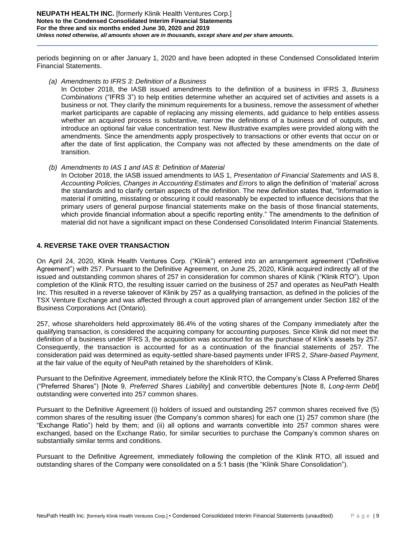periods beginning on or after January 1, 2020 and have been adopted in these Condensed Consolidated Interim Financial Statements.

*(a) Amendments to IFRS 3: Definition of a Business* 

In October 2018, the IASB issued amendments to the definition of a business in IFRS 3, *Business Combinations* ("IFRS 3") to help entities determine whether an acquired set of activities and assets is a business or not. They clarify the minimum requirements for a business, remove the assessment of whether market participants are capable of replacing any missing elements, add guidance to help entities assess whether an acquired process is substantive, narrow the definitions of a business and of outputs, and introduce an optional fair value concentration test. New illustrative examples were provided along with the amendments. Since the amendments apply prospectively to transactions or other events that occur on or after the date of first application, the Company was not affected by these amendments on the date of transition.

*(b) Amendments to IAS 1 and IAS 8: Definition of Material* 

In October 2018, the IASB issued amendments to IAS 1, *Presentation of Financial Statements* and IAS 8, *Accounting Policies, Changes in Accounting Estimates and Errors* to align the definition of 'material' across the standards and to clarify certain aspects of the definition. The new definition states that, "Information is material if omitting, misstating or obscuring it could reasonably be expected to influence decisions that the primary users of general purpose financial statements make on the basis of those financial statements, which provide financial information about a specific reporting entity." The amendments to the definition of material did not have a significant impact on these Condensed Consolidated Interim Financial Statements.

# **4. REVERSE TAKE OVER TRANSACTION**

On April 24, 2020, Klinik Health Ventures Corp. ("Klinik") entered into an arrangement agreement ("Definitive Agreement") with 257. Pursuant to the Definitive Agreement, on June 25, 2020, Klinik acquired indirectly all of the issued and outstanding common shares of 257 in consideration for common shares of Klinik ("Klinik RTO"). Upon completion of the Klinik RTO, the resulting issuer carried on the business of 257 and operates as NeuPath Health Inc. This resulted in a reverse takeover of Klinik by 257 as a qualifying transaction, as defined in the policies of the TSX Venture Exchange and was affected through a court approved plan of arrangement under Section 182 of the Business Corporations Act (Ontario).

257, whose shareholders held approximately 86.4% of the voting shares of the Company immediately after the qualifying transaction, is considered the acquiring company for accounting purposes. Since Klinik did not meet the definition of a business under IFRS 3, the acquisition was accounted for as the purchase of Klink's assets by 257. Consequently, the transaction is accounted for as a continuation of the financial statements of 257. The consideration paid was determined as equity-settled share-based payments under IFRS 2, *Share-based Payment*, at the fair value of the equity of NeuPath retained by the shareholders of Klinik.

Pursuant to the Definitive Agreement, immediately before the Klinik RTO, the Company's Class A Preferred Shares ("Preferred Shares") [Note 9, *Preferred Shares Liability*] and convertible debentures [Note 8, *Long-term Debt*] outstanding were converted into 257 common shares.

Pursuant to the Definitive Agreement (i) holders of issued and outstanding 257 common shares received five (5) common shares of the resulting issuer (the Company's common shares) for each one (1) 257 common share (the "Exchange Ratio") held by them; and (ii) all options and warrants convertible into 257 common shares were exchanged, based on the Exchange Ratio, for similar securities to purchase the Company's common shares on substantially similar terms and conditions.

Pursuant to the Definitive Agreement, immediately following the completion of the Klinik RTO, all issued and outstanding shares of the Company were consolidated on a 5:1 basis (the "Klinik Share Consolidation").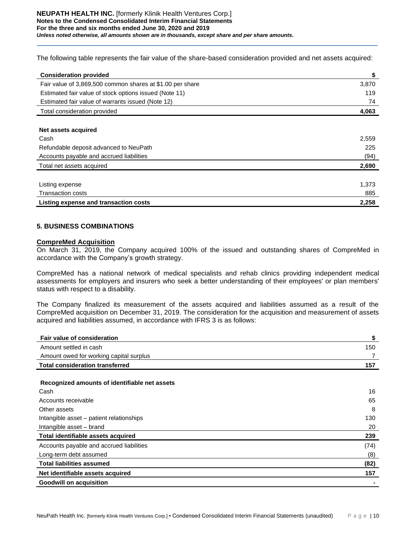The following table represents the fair value of the share-based consideration provided and net assets acquired:

| <b>Consideration provided</b>                             | \$    |
|-----------------------------------------------------------|-------|
| Fair value of 3,869,500 common shares at \$1.00 per share | 3,870 |
| Estimated fair value of stock options issued (Note 11)    | 119   |
| Estimated fair value of warrants issued (Note 12)         | 74    |
| Total consideration provided                              | 4,063 |
|                                                           |       |
| Net assets acquired                                       |       |
| Cash                                                      | 2,559 |
| Refundable deposit advanced to NeuPath                    | 225   |
| Accounts payable and accrued liabilities                  | (94)  |
| Total net assets acquired                                 | 2,690 |
|                                                           |       |
| Listing expense                                           | 1,373 |
| <b>Transaction costs</b>                                  | 885   |
| Listing expense and transaction costs                     | 2,258 |

# **5. BUSINESS COMBINATIONS**

# **CompreMed Acquisition**

On March 31, 2019, the Company acquired 100% of the issued and outstanding shares of CompreMed in accordance with the Company's growth strategy.

CompreMed has a national network of medical specialists and rehab clinics providing independent medical assessments for employers and insurers who seek a better understanding of their employees' or plan members' status with respect to a disability.

The Company finalized its measurement of the assets acquired and liabilities assumed as a result of the CompreMed acquisition on December 31, 2019. The consideration for the acquisition and measurement of assets acquired and liabilities assumed, in accordance with IFRS 3 is as follows:

| <b>Fair value of consideration</b>            | \$   |
|-----------------------------------------------|------|
| Amount settled in cash                        | 150  |
| Amount owed for working capital surplus       | 7    |
| <b>Total consideration transferred</b>        | 157  |
|                                               |      |
| Recognized amounts of identifiable net assets |      |
| Cash                                          | 16   |
| Accounts receivable                           | 65   |
| Other assets                                  | 8    |
| Intangible asset - patient relationships      | 130  |
| Intangible asset – brand                      | 20   |
| Total identifiable assets acquired            | 239  |
| Accounts payable and accrued liabilities      | (74) |
| Long-term debt assumed                        | (8)  |
| <b>Total liabilities assumed</b>              | (82) |
| Net identifiable assets acquired              | 157  |
| <b>Goodwill on acquisition</b>                |      |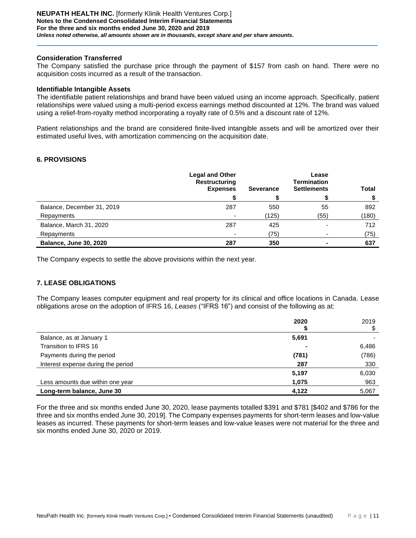### **Consideration Transferred**

The Company satisfied the purchase price through the payment of \$157 from cash on hand. There were no acquisition costs incurred as a result of the transaction.

### **Identifiable Intangible Assets**

The identifiable patient relationships and brand have been valued using an income approach. Specifically, patient relationships were valued using a multi-period excess earnings method discounted at 12%. The brand was valued using a relief-from-royalty method incorporating a royalty rate of 0.5% and a discount rate of 12%.

Patient relationships and the brand are considered finite-lived intangible assets and will be amortized over their estimated useful lives, with amortization commencing on the acquisition date.

### **6. PROVISIONS**

|                               | <b>Legal and Other</b><br><b>Restructuring</b><br><b>Expenses</b> | <b>Severance</b> | Lease<br><b>Termination</b><br><b>Settlements</b> | <b>Total</b> |
|-------------------------------|-------------------------------------------------------------------|------------------|---------------------------------------------------|--------------|
|                               |                                                                   |                  |                                                   |              |
| Balance, December 31, 2019    | 287                                                               | 550              | 55                                                | 892          |
| Repayments                    | -                                                                 | (125)            | (55)                                              | (180)        |
| Balance, March 31, 2020       | 287                                                               | 425              |                                                   | 712          |
| Repayments                    |                                                                   | (75)             |                                                   | (75)         |
| <b>Balance, June 30, 2020</b> | 287                                                               | 350              |                                                   | 637          |

The Company expects to settle the above provisions within the next year.

# **7. LEASE OBLIGATIONS**

The Company leases computer equipment and real property for its clinical and office locations in Canada. Lease obligations arose on the adoption of IFRS 16, *Leases* ("IFRS 16") and consist of the following as at:

|                                    | 2020  | 2019  |
|------------------------------------|-------|-------|
| Balance, as at January 1           | 5,691 |       |
| Transition to IFRS 16              |       | 6,486 |
| Payments during the period         | (781) | (786) |
| Interest expense during the period | 287   | 330   |
|                                    | 5,197 | 6,030 |
| Less amounts due within one year   | 1,075 | 963   |
| Long-term balance, June 30         | 4,122 | 5,067 |

For the three and six months ended June 30, 2020, lease payments totalled \$391 and \$781 [\$402 and \$786 for the three and six months ended June 30, 2019]. The Company expenses payments for short-term leases and low-value leases as incurred. These payments for short-term leases and low-value leases were not material for the three and six months ended June 30, 2020 or 2019.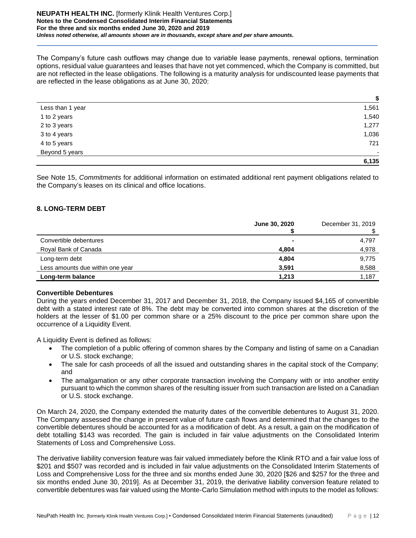### **NEUPATH HEALTH INC.** [formerly Klinik Health Ventures Corp.] **Notes to the Condensed Consolidated Interim Financial Statements For the three and six months ended June 30, 2020 and 2019** *Unless noted otherwise, all amounts shown are in thousands, except share and per share amounts.*

The Company's future cash outflows may change due to variable lease payments, renewal options, termination options, residual value guarantees and leases that have not yet commenced, which the Company is committed, but are not reflected in the lease obligations. The following is a maturity analysis for undiscounted lease payments that are reflected in the lease obligations as at June 30, 2020:

|                  | \$     |
|------------------|--------|
| Less than 1 year | 1,561  |
| 1 to 2 years     | 1,540  |
| 2 to 3 years     | 1,277  |
| 3 to 4 years     | 1,036  |
| 4 to 5 years     | 721    |
| Beyond 5 years   | $\sim$ |
|                  | 6,135  |

See Note 15, *Commitments* for additional information on estimated additional rent payment obligations related to the Company's leases on its clinical and office locations.

# **8. LONG-TERM DEBT**

|                                  | June 30, 2020  | December 31, 2019 |
|----------------------------------|----------------|-------------------|
| Convertible debentures           | $\blacksquare$ | 4,797             |
| Royal Bank of Canada             | 4,804          | 4,978             |
| Long-term debt                   | 4,804          | 9,775             |
| Less amounts due within one year | 3,591          | 8,588             |
| Long-term balance                | 1,213          | 1,187             |

# **Convertible Debentures**

During the years ended December 31, 2017 and December 31, 2018, the Company issued \$4,165 of convertible debt with a stated interest rate of 8%. The debt may be converted into common shares at the discretion of the holders at the lesser of \$1.00 per common share or a 25% discount to the price per common share upon the occurrence of a Liquidity Event.

A Liquidity Event is defined as follows:

- The completion of a public offering of common shares by the Company and listing of same on a Canadian or U.S. stock exchange;
- The sale for cash proceeds of all the issued and outstanding shares in the capital stock of the Company; and
- The amalgamation or any other corporate transaction involving the Company with or into another entity pursuant to which the common shares of the resulting issuer from such transaction are listed on a Canadian or U.S. stock exchange.

On March 24, 2020, the Company extended the maturity dates of the convertible debentures to August 31, 2020. The Company assessed the change in present value of future cash flows and determined that the changes to the convertible debentures should be accounted for as a modification of debt. As a result, a gain on the modification of debt totalling \$143 was recorded. The gain is included in fair value adjustments on the Consolidated Interim Statements of Loss and Comprehensive Loss.

The derivative liability conversion feature was fair valued immediately before the Klinik RTO and a fair value loss of \$201 and \$507 was recorded and is included in fair value adjustments on the Consolidated Interim Statements of Loss and Comprehensive Loss for the three and six months ended June 30, 2020 [\$26 and \$257 for the three and six months ended June 30, 2019]. As at December 31, 2019, the derivative liability conversion feature related to convertible debentures was fair valued using the Monte-Carlo Simulation method with inputs to the model as follows: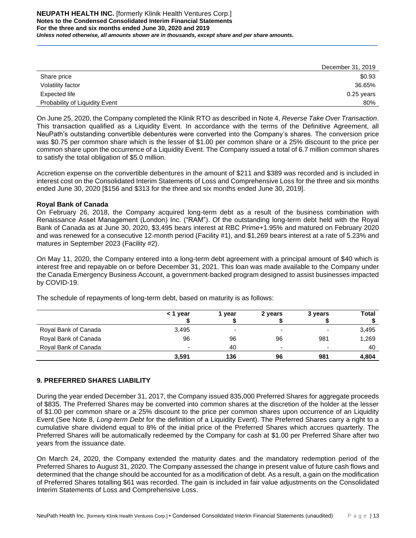|                                | December 31, 2019 |
|--------------------------------|-------------------|
| Share price                    | \$0.93            |
| Volatility factor              | 36.65%            |
| Expected life                  | $0.25$ years      |
| Probability of Liquidity Event | 80%               |

On June 25, 2020, the Company completed the Klinik RTO as described in Note 4, *Reverse Take Over Transaction*. This transaction qualified as a Liquidity Event. In accordance with the terms of the Definitive Agreement, all NeuPath's outstanding convertible debentures were converted into the Company's shares. The conversion price was \$0.75 per common share which is the lesser of \$1.00 per common share or a 25% discount to the price per common share upon the occurrence of a Liquidity Event. The Company issued a total of 6.7 million common shares to satisfy the total obligation of \$5.0 million.

Accretion expense on the convertible debentures in the amount of \$211 and \$389 was recorded and is included in interest cost on the Consolidated Interim Statements of Loss and Comprehensive Loss for the three and six months ended June 30, 2020 [\$156 and \$313 for the three and six months ended June 30, 2019].

### **Royal Bank of Canada**

On February 26, 2018, the Company acquired long-term debt as a result of the business combination with Renaissance Asset Management (London) Inc. ("RAM"). Of the outstanding long-term debt held with the Royal Bank of Canada as at June 30, 2020, \$3,495 bears interest at RBC Prime+1.95% and matured on February 2020 and was renewed for a consecutive 12-month period (Facility #1), and \$1,269 bears interest at a rate of 5.23% and matures in September 2023 (Facility #2).

On May 11, 2020, the Company entered into a long-term debt agreement with a principal amount of \$40 which is interest free and repayable on or before December 31, 2021. This loan was made available to the Company under the Canada Emergency Business Account, a government-backed program designed to assist businesses impacted by COVID-19.

|                      | < 1 year                 | year   | 2 years                  | 3 years                  | Total |
|----------------------|--------------------------|--------|--------------------------|--------------------------|-------|
| Royal Bank of Canada | 3,495                    | $\sim$ | $\overline{\phantom{0}}$ | $\overline{\phantom{0}}$ | 3,495 |
| Royal Bank of Canada | 96                       | 96     | 96                       | 981                      | 1,269 |
| Royal Bank of Canada | $\overline{\phantom{0}}$ | 40     | $\overline{\phantom{0}}$ | $\overline{\phantom{0}}$ | 40    |
|                      | 3,591                    | 136    | 96                       | 981                      | 4,804 |

The schedule of repayments of long-term debt, based on maturity is as follows:

# **9. PREFERRED SHARES LIABILITY**

During the year ended December 31, 2017, the Company issued 835,000 Preferred Shares for aggregate proceeds of \$835. The Preferred Shares may be converted into common shares at the discretion of the holder at the lesser of \$1.00 per common share or a 25% discount to the price per common shares upon occurrence of an Liquidity Event (See Note 8, *Long-term Debt* for the definition of a Liquidity Event). The Preferred Shares carry a right to a cumulative share dividend equal to 8% of the initial price of the Preferred Shares which accrues quarterly. The Preferred Shares will be automatically redeemed by the Company for cash at \$1.00 per Preferred Share after two years from the issuance date.

On March 24, 2020, the Company extended the maturity dates and the mandatory redemption period of the Preferred Shares to August 31, 2020. The Company assessed the change in present value of future cash flows and determined that the change should be accounted for as a modification of debt. As a result, a gain on the modification of Preferred Shares totalling \$61 was recorded. The gain is included in fair value adjustments on the Consolidated Interim Statements of Loss and Comprehensive Loss.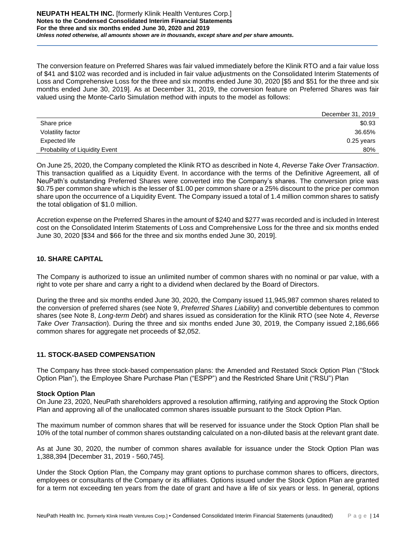The conversion feature on Preferred Shares was fair valued immediately before the Klinik RTO and a fair value loss of \$41 and \$102 was recorded and is included in fair value adjustments on the Consolidated Interim Statements of Loss and Comprehensive Loss for the three and six months ended June 30, 2020 [\$5 and \$51 for the three and six months ended June 30, 2019]. As at December 31, 2019, the conversion feature on Preferred Shares was fair valued using the Monte-Carlo Simulation method with inputs to the model as follows:

|                                | December 31, 2019 |
|--------------------------------|-------------------|
| Share price                    | \$0.93            |
| Volatility factor              | 36.65%            |
| Expected life                  | $0.25$ years      |
| Probability of Liquidity Event | 80%               |

On June 25, 2020, the Company completed the Klinik RTO as described in Note 4, *Reverse Take Over Transaction*. This transaction qualified as a Liquidity Event. In accordance with the terms of the Definitive Agreement, all of NeuPath's outstanding Preferred Shares were converted into the Company's shares. The conversion price was \$0.75 per common share which is the lesser of \$1.00 per common share or a 25% discount to the price per common share upon the occurrence of a Liquidity Event. The Company issued a total of 1.4 million common shares to satisfy the total obligation of \$1.0 million.

Accretion expense on the Preferred Shares in the amount of \$240 and \$277 was recorded and is included in Interest cost on the Consolidated Interim Statements of Loss and Comprehensive Loss for the three and six months ended June 30, 2020 [\$34 and \$66 for the three and six months ended June 30, 2019].

# **10. SHARE CAPITAL**

The Company is authorized to issue an unlimited number of common shares with no nominal or par value, with a right to vote per share and carry a right to a dividend when declared by the Board of Directors.

During the three and six months ended June 30, 2020, the Company issued 11,945,987 common shares related to the conversion of preferred shares (see Note 9, *Preferred Shares Liability*) and convertible debentures to common shares (see Note 8, *Long-term Debt*) and shares issued as consideration for the Klinik RTO (see Note 4, *Reverse Take Over Transaction*). During the three and six months ended June 30, 2019, the Company issued 2,186,666 common shares for aggregate net proceeds of \$2,052.

# **11. STOCK-BASED COMPENSATION**

The Company has three stock-based compensation plans: the Amended and Restated Stock Option Plan ("Stock Option Plan"), the Employee Share Purchase Plan ("ESPP") and the Restricted Share Unit ("RSU") Plan

# **Stock Option Plan**

On June 23, 2020, NeuPath shareholders approved a resolution affirming, ratifying and approving the Stock Option Plan and approving all of the unallocated common shares issuable pursuant to the Stock Option Plan.

The maximum number of common shares that will be reserved for issuance under the Stock Option Plan shall be 10% of the total number of common shares outstanding calculated on a non-diluted basis at the relevant grant date.

As at June 30, 2020, the number of common shares available for issuance under the Stock Option Plan was 1,388,394 [December 31, 2019 - 560,745].

Under the Stock Option Plan, the Company may grant options to purchase common shares to officers, directors, employees or consultants of the Company or its affiliates. Options issued under the Stock Option Plan are granted for a term not exceeding ten years from the date of grant and have a life of six years or less. In general, options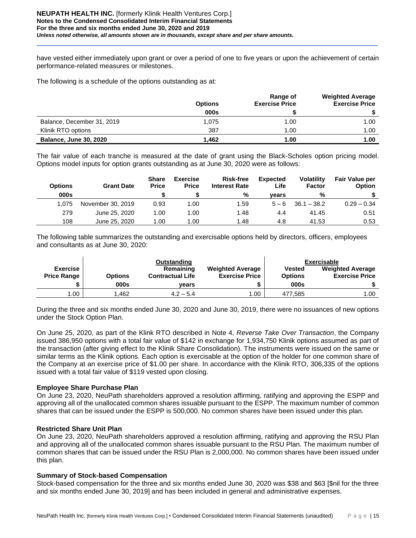have vested either immediately upon grant or over a period of one to five years or upon the achievement of certain performance-related measures or milestones.

The following is a schedule of the options outstanding as at:

|                               | <b>Options</b> | Range of<br><b>Exercise Price</b> | <b>Weighted Average</b><br><b>Exercise Price</b> |
|-------------------------------|----------------|-----------------------------------|--------------------------------------------------|
|                               | 000s           |                                   |                                                  |
| Balance, December 31, 2019    | 1,075          | 1.00                              | 1.00                                             |
| Klinik RTO options            | 387            | 1.00                              | 1.00                                             |
| <b>Balance, June 30, 2020</b> | 1.462          | 1.00                              | 1.00                                             |

The fair value of each tranche is measured at the date of grant using the Black-Scholes option pricing model. Options model inputs for option grants outstanding as at June 30, 2020 were as follows:

| <b>Options</b><br>000s | <b>Grant Date</b> | <b>Share</b><br><b>Price</b> | <b>Exercise</b><br><b>Price</b> | <b>Risk-free</b><br><b>Interest Rate</b><br>% | <b>Expected</b><br>Life<br>vears | <b>Volatility</b><br><b>Factor</b><br>% | <b>Fair Value per</b><br><b>Option</b> |
|------------------------|-------------------|------------------------------|---------------------------------|-----------------------------------------------|----------------------------------|-----------------------------------------|----------------------------------------|
|                        |                   |                              |                                 |                                               |                                  |                                         |                                        |
| 1.075                  | November 30, 2019 | 0.93                         | 1.00                            | 1.59                                          | $5 - 6$                          | $36.1 - 38.2$                           | $0.29 - 0.34$                          |
| 279                    | June 25, 2020     | 1.00                         | 1.00                            | 1.48                                          | 4.4                              | 41.45                                   | 0.51                                   |
| 108                    | June 25, 2020     | 1.00                         | 1.00                            | 1.48                                          | 4.8                              | 41.53                                   | 0.53                                   |

The following table summarizes the outstanding and exercisable options held by directors, officers, employees and consultants as at June 30, 2020:

|                                       |                | Outstanding                          |                                                  |                                 | Exercisable                                      |
|---------------------------------------|----------------|--------------------------------------|--------------------------------------------------|---------------------------------|--------------------------------------------------|
| <b>Exercise</b><br><b>Price Range</b> | <b>Options</b> | Remaining<br><b>Contractual Life</b> | <b>Weighted Average</b><br><b>Exercise Price</b> | <b>Vested</b><br><b>Options</b> | <b>Weighted Average</b><br><b>Exercise Price</b> |
|                                       | 000s           | vears                                |                                                  | 000s                            |                                                  |
| 1.00                                  | 462. ا         | $4.2 - 5.4$                          | 1.00                                             | 477.585                         | 1.00                                             |

During the three and six months ended June 30, 2020 and June 30, 2019, there were no issuances of new options under the Stock Option Plan.

On June 25, 2020, as part of the Klink RTO described in Note 4, *Reverse Take Over Transaction*, the Company issued 386,950 options with a total fair value of \$142 in exchange for 1,934,750 Klinik options assumed as part of the transaction (after giving effect to the Klinik Share Consolidation). The instruments were issued on the same or similar terms as the Klinik options. Each option is exercisable at the option of the holder for one common share of the Company at an exercise price of \$1.00 per share. In accordance with the Klinik RTO, 306,335 of the options issued with a total fair value of \$119 vested upon closing.

# **Employee Share Purchase Plan**

On June 23, 2020, NeuPath shareholders approved a resolution affirming, ratifying and approving the ESPP and approving all of the unallocated common shares issuable pursuant to the ESPP. The maximum number of common shares that can be issued under the ESPP is 500,000. No common shares have been issued under this plan.

# **Restricted Share Unit Plan**

On June 23, 2020, NeuPath shareholders approved a resolution affirming, ratifying and approving the RSU Plan and approving all of the unallocated common shares issuable pursuant to the RSU Plan. The maximum number of common shares that can be issued under the RSU Plan is 2,000,000. No common shares have been issued under this plan.

# **Summary of Stock-based Compensation**

Stock-based compensation for the three and six months ended June 30, 2020 was \$38 and \$63 [\$nil for the three and six months ended June 30, 2019] and has been included in general and administrative expenses.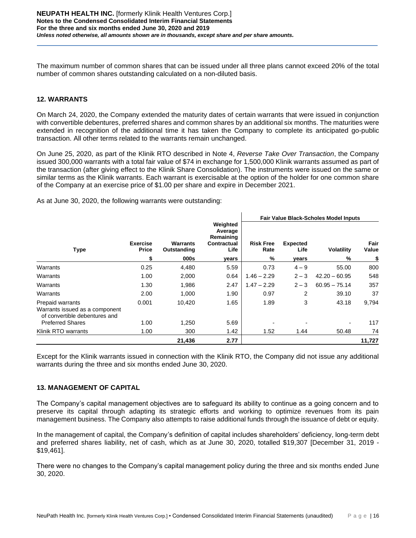The maximum number of common shares that can be issued under all three plans cannot exceed 20% of the total number of common shares outstanding calculated on a non-diluted basis.

# **12. WARRANTS**

On March 24, 2020, the Company extended the maturity dates of certain warrants that were issued in conjunction with convertible debentures, preferred shares and common shares by an additional six months. The maturities were extended in recognition of the additional time it has taken the Company to complete its anticipated go-public transaction. All other terms related to the warrants remain unchanged.

On June 25, 2020, as part of the Klinik RTO described in Note 4, *Reverse Take Over Transaction*, the Company issued 300,000 warrants with a total fair value of \$74 in exchange for 1,500,000 Klinik warrants assumed as part of the transaction (after giving effect to the Klinik Share Consolidation). The instruments were issued on the same or similar terms as the Klinik warrants. Each warrant is exercisable at the option of the holder for one common share of the Company at an exercise price of \$1.00 per share and expire in December 2021.

 $\mathbf{L}$ 

As at June 30, 2020, the following warrants were outstanding:

|                                                                                     |                          |                                |                                                         | <b>Fair Value Black-Scholes Model Inputs</b> |                         |                   |               |
|-------------------------------------------------------------------------------------|--------------------------|--------------------------------|---------------------------------------------------------|----------------------------------------------|-------------------------|-------------------|---------------|
| <b>Type</b>                                                                         | <b>Exercise</b><br>Price | <b>Warrants</b><br>Outstanding | Weighted<br>Average<br>Remaining<br>Contractual<br>Life | <b>Risk Free</b><br>Rate                     | <b>Expected</b><br>Life | <b>Volatility</b> | Fair<br>Value |
|                                                                                     | \$                       | 000s                           | years                                                   | %                                            | years                   | %                 | \$            |
| Warrants                                                                            | 0.25                     | 4,480                          | 5.59                                                    | 0.73                                         | $4 - 9$                 | 55.00             | 800           |
| Warrants                                                                            | 1.00                     | 2,000                          | 0.64                                                    | $1.46 - 2.29$                                | $2 - 3$                 | $42.20 - 60.95$   | 548           |
| Warrants                                                                            | 1.30                     | 1,986                          | 2.47                                                    | $1.47 - 2.29$                                | $2 - 3$                 | $60.95 - 75.14$   | 357           |
| Warrants                                                                            | 2.00                     | 1,000                          | 1.90                                                    | 0.97                                         | 2                       | 39.10             | 37            |
| Prepaid warrants<br>Warrants issued as a component<br>of convertible debentures and | 0.001                    | 10,420                         | 1.65                                                    | 1.89                                         | 3                       | 43.18             | 9,794         |
| <b>Preferred Shares</b>                                                             | 1.00                     | 1,250                          | 5.69                                                    |                                              |                         | -                 | 117           |
| Klinik RTO warrants                                                                 | 1.00                     | 300                            | 1.42                                                    | 1.52                                         | 1.44                    | 50.48             | 74            |
|                                                                                     |                          | 21,436                         | 2.77                                                    |                                              |                         |                   | 11,727        |

Except for the Klinik warrants issued in connection with the Klinik RTO, the Company did not issue any additional warrants during the three and six months ended June 30, 2020.

# **13. MANAGEMENT OF CAPITAL**

The Company's capital management objectives are to safeguard its ability to continue as a going concern and to preserve its capital through adapting its strategic efforts and working to optimize revenues from its pain management business. The Company also attempts to raise additional funds through the issuance of debt or equity.

In the management of capital, the Company's definition of capital includes shareholders' deficiency, long-term debt and preferred shares liability, net of cash, which as at June 30, 2020, totalled \$19,307 [December 31, 2019 - \$19,461].

There were no changes to the Company's capital management policy during the three and six months ended June 30, 2020.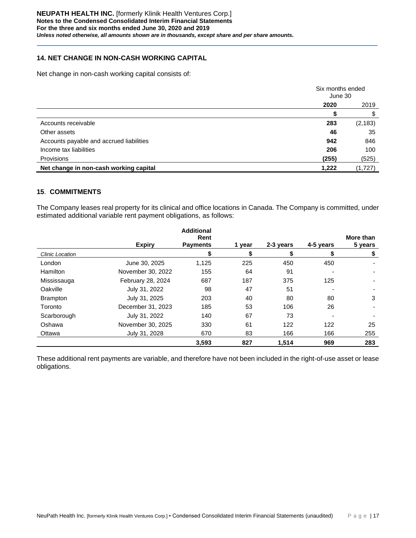# **14. NET CHANGE IN NON-CASH WORKING CAPITAL**

Net change in non-cash working capital consists of:

|                                          | Six months ended<br>June 30 |          |
|------------------------------------------|-----------------------------|----------|
|                                          | 2020                        | 2019     |
|                                          |                             |          |
| Accounts receivable                      | 283                         | (2, 183) |
| Other assets                             | 46                          | 35       |
| Accounts payable and accrued liabilities | 942                         | 846      |
| Income tax liabilities                   | 206                         | 100      |
| Provisions                               | (255)                       | (525)    |
| Net change in non-cash working capital   | 1,222                       | (1,727)  |

# **15**. **COMMITMENTS**

The Company leases real property for its clinical and office locations in Canada. The Company is committed, under estimated additional variable rent payment obligations, as follows:

|                 |                   | <b>Additional</b>       |        |           |           |                      |
|-----------------|-------------------|-------------------------|--------|-----------|-----------|----------------------|
|                 | <b>Expiry</b>     | Rent<br><b>Payments</b> | 1 vear | 2-3 years | 4-5 years | More than<br>5 years |
| Clinic Location |                   | S                       | S      | S         | S         | \$                   |
| London          | June 30, 2025     | 1.125                   | 225    | 450       | 450       |                      |
| <b>Hamilton</b> | November 30, 2022 | 155                     | 64     | 91        |           |                      |
| Mississauga     | February 28, 2024 | 687                     | 187    | 375       | 125       |                      |
| Oakville        | July 31, 2022     | 98                      | 47     | 51        |           |                      |
| <b>Brampton</b> | July 31, 2025     | 203                     | 40     | 80        | 80        | 3                    |
| Toronto         | December 31, 2023 | 185                     | 53     | 106       | 26        |                      |
| Scarborough     | July 31, 2022     | 140                     | 67     | 73        |           |                      |
| Oshawa          | November 30, 2025 | 330                     | 61     | 122       | 122       | 25                   |
| Ottawa          | July 31, 2028     | 670                     | 83     | 166       | 166       | 255                  |
|                 |                   | 3.593                   | 827    | 1,514     | 969       | 283                  |

These additional rent payments are variable, and therefore have not been included in the right-of-use asset or lease obligations.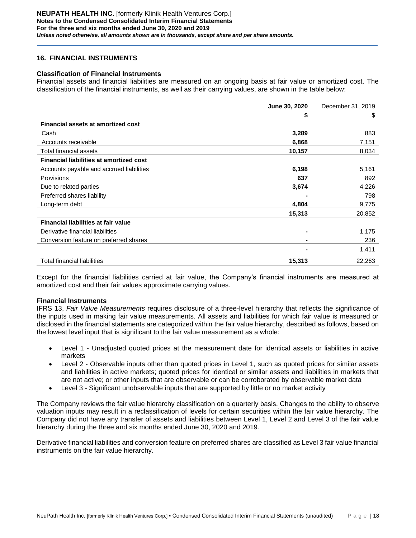# **16. FINANCIAL INSTRUMENTS**

### **Classification of Financial Instruments**

Financial assets and financial liabilities are measured on an ongoing basis at fair value or amortized cost. The classification of the financial instruments, as well as their carrying values, are shown in the table below:

|                                                | June 30, 2020  | December 31, 2019 |
|------------------------------------------------|----------------|-------------------|
|                                                | S              | \$                |
| <b>Financial assets at amortized cost</b>      |                |                   |
| Cash                                           | 3,289          | 883               |
| Accounts receivable                            | 6,868          | 7,151             |
| Total financial assets                         | 10,157         | 8,034             |
| <b>Financial liabilities at amortized cost</b> |                |                   |
| Accounts payable and accrued liabilities       | 6,198          | 5,161             |
| <b>Provisions</b>                              | 637            | 892               |
| Due to related parties                         | 3,674          | 4,226             |
| Preferred shares liability                     |                | 798               |
| Long-term debt                                 | 4,804          | 9,775             |
|                                                | 15,313         | 20,852            |
| Financial liabilities at fair value            |                |                   |
| Derivative financial liabilities               | $\blacksquare$ | 1,175             |
| Conversion feature on preferred shares         |                | 236               |
|                                                |                | 1,411             |
| <b>Total financial liabilities</b>             | 15,313         | 22,263            |

Except for the financial liabilities carried at fair value, the Company's financial instruments are measured at amortized cost and their fair values approximate carrying values.

### **Financial Instruments**

IFRS 13, *Fair Value Measurements* requires disclosure of a three-level hierarchy that reflects the significance of the inputs used in making fair value measurements. All assets and liabilities for which fair value is measured or disclosed in the financial statements are categorized within the fair value hierarchy, described as follows, based on the lowest level input that is significant to the fair value measurement as a whole:

- Level 1 Unadjusted quoted prices at the measurement date for identical assets or liabilities in active markets
- Level 2 Observable inputs other than quoted prices in Level 1, such as quoted prices for similar assets and liabilities in active markets; quoted prices for identical or similar assets and liabilities in markets that are not active; or other inputs that are observable or can be corroborated by observable market data
- Level 3 Significant unobservable inputs that are supported by little or no market activity

The Company reviews the fair value hierarchy classification on a quarterly basis. Changes to the ability to observe valuation inputs may result in a reclassification of levels for certain securities within the fair value hierarchy. The Company did not have any transfer of assets and liabilities between Level 1, Level 2 and Level 3 of the fair value hierarchy during the three and six months ended June 30, 2020 and 2019.

Derivative financial liabilities and conversion feature on preferred shares are classified as Level 3 fair value financial instruments on the fair value hierarchy.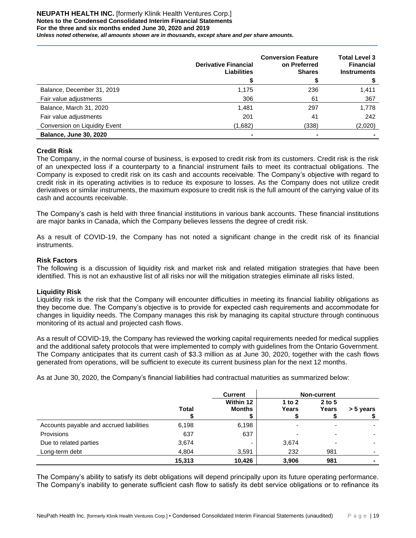### **NEUPATH HEALTH INC.** [formerly Klinik Health Ventures Corp.] **Notes to the Condensed Consolidated Interim Financial Statements For the three and six months ended June 30, 2020 and 2019** *Unless noted otherwise, all amounts shown are in thousands, except share and per share amounts.*

|                               | <b>Derivative Financial</b><br><b>Liabilities</b> | <b>Conversion Feature</b><br>on Preferred<br><b>Shares</b> | <b>Total Level 3</b><br><b>Financial</b><br><b>Instruments</b> |
|-------------------------------|---------------------------------------------------|------------------------------------------------------------|----------------------------------------------------------------|
| Balance, December 31, 2019    | 1,175                                             | 236                                                        | 1,411                                                          |
| Fair value adjustments        | 306                                               | 61                                                         | 367                                                            |
| Balance, March 31, 2020       | 1,481                                             | 297                                                        | 1,778                                                          |
| Fair value adjustments        | 201                                               | 41                                                         | 242                                                            |
| Conversion on Liquidity Event | (1,682)                                           | (338)                                                      | (2,020)                                                        |
| <b>Balance, June 30, 2020</b> |                                                   | $\blacksquare$                                             |                                                                |

# **Credit Risk**

The Company, in the normal course of business, is exposed to credit risk from its customers. Credit risk is the risk of an unexpected loss if a counterparty to a financial instrument fails to meet its contractual obligations. The Company is exposed to credit risk on its cash and accounts receivable. The Company's objective with regard to credit risk in its operating activities is to reduce its exposure to losses. As the Company does not utilize credit derivatives or similar instruments, the maximum exposure to credit risk is the full amount of the carrying value of its cash and accounts receivable.

The Company's cash is held with three financial institutions in various bank accounts. These financial institutions are major banks in Canada, which the Company believes lessens the degree of credit risk.

As a result of COVID-19, the Company has not noted a significant change in the credit risk of its financial instruments.

### **Risk Factors**

The following is a discussion of liquidity risk and market risk and related mitigation strategies that have been identified. This is not an exhaustive list of all risks nor will the mitigation strategies eliminate all risks listed.

### **Liquidity Risk**

Liquidity risk is the risk that the Company will encounter difficulties in meeting its financial liability obligations as they become due. The Company's objective is to provide for expected cash requirements and accommodate for changes in liquidity needs. The Company manages this risk by managing its capital structure through continuous monitoring of its actual and projected cash flows.

As a result of COVID-19, the Company has reviewed the working capital requirements needed for medical supplies and the additional safety protocols that were implemented to comply with guidelines from the Ontario Government. The Company anticipates that its current cash of \$3.3 million as at June 30, 2020, together with the cash flows generated from operations, will be sufficient to execute its current business plan for the next 12 months.

As at June 30, 2020, the Company's financial liabilities had contractual maturities as summarized below:

|                                          |              | <b>Current</b>             |                   | Non-current       |           |
|------------------------------------------|--------------|----------------------------|-------------------|-------------------|-----------|
|                                          | <b>Total</b> | Within 12<br><b>Months</b> | 1 to $2$<br>Years | $2$ to 5<br>Years | > 5 years |
| Accounts payable and accrued liabilities | 6,198        | 6,198                      |                   | -                 |           |
| Provisions                               | 637          | 637                        |                   | ٠                 |           |
| Due to related parties                   | 3,674        | -                          | 3,674             | -                 |           |
| Long-term debt                           | 4,804        | 3,591                      | 232               | 981               |           |
|                                          | 15,313       | 10,426                     | 3,906             | 981               |           |

The Company's ability to satisfy its debt obligations will depend principally upon its future operating performance. The Company's inability to generate sufficient cash flow to satisfy its debt service obligations or to refinance its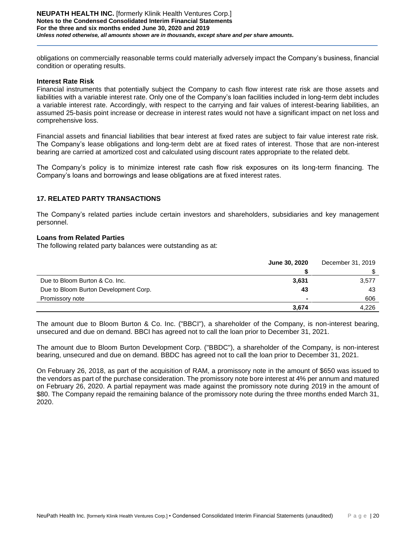obligations on commercially reasonable terms could materially adversely impact the Company's business, financial condition or operating results.

### **Interest Rate Risk**

Financial instruments that potentially subject the Company to cash flow interest rate risk are those assets and liabilities with a variable interest rate. Only one of the Company's loan facilities included in long-term debt includes a variable interest rate. Accordingly, with respect to the carrying and fair values of interest-bearing liabilities, an assumed 25-basis point increase or decrease in interest rates would not have a significant impact on net loss and comprehensive loss.

Financial assets and financial liabilities that bear interest at fixed rates are subject to fair value interest rate risk. The Company's lease obligations and long-term debt are at fixed rates of interest. Those that are non-interest bearing are carried at amortized cost and calculated using discount rates appropriate to the related debt.

The Company's policy is to minimize interest rate cash flow risk exposures on its long-term financing. The Company's loans and borrowings and lease obligations are at fixed interest rates.

### **17. RELATED PARTY TRANSACTIONS**

The Company's related parties include certain investors and shareholders, subsidiaries and key management personnel.

### **Loans from Related Parties**

The following related party balances were outstanding as at:

|                                       | June 30, 2020 | December 31, 2019 |
|---------------------------------------|---------------|-------------------|
|                                       |               |                   |
| Due to Bloom Burton & Co. Inc.        | 3,631         | 3,577             |
| Due to Bloom Burton Development Corp. | 43            | 43                |
| Promissory note                       |               | 606               |
|                                       | 3.674         | 4.226             |

The amount due to Bloom Burton & Co. Inc. ("BBCI"), a shareholder of the Company, is non-interest bearing, unsecured and due on demand. BBCI has agreed not to call the loan prior to December 31, 2021.

The amount due to Bloom Burton Development Corp. ("BBDC"), a shareholder of the Company, is non-interest bearing, unsecured and due on demand. BBDC has agreed not to call the loan prior to December 31, 2021.

On February 26, 2018, as part of the acquisition of RAM, a promissory note in the amount of \$650 was issued to the vendors as part of the purchase consideration. The promissory note bore interest at 4% per annum and matured on February 26, 2020. A partial repayment was made against the promissory note during 2019 in the amount of \$80. The Company repaid the remaining balance of the promissory note during the three months ended March 31, 2020.